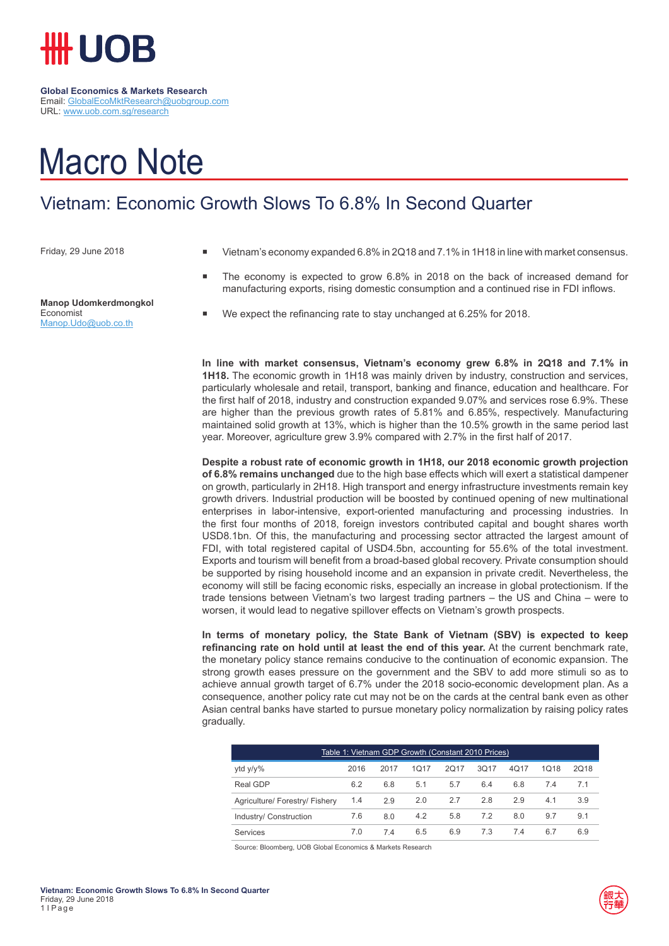

## Macro Note

## Vietnam: Economic Growth Slows To 6.8% In Second Quarter

Friday, 29 June 2018

**Manop Udomkerdmongkol** Economist Manop.Udo@uob.co.th

- Vietnam's economy expanded 6.8% in 2Q18 and 7.1% in 1H18 in line with market consensus.
- The economy is expected to grow 6.8% in 2018 on the back of increased demand for manufacturing exports, rising domestic consumption and a continued rise in FDI inflows.
- We expect the refinancing rate to stay unchanged at 6.25% for 2018.

**In line with market consensus, Vietnam's economy grew 6.8% in 2Q18 and 7.1% in 1H18.** The economic growth in 1H18 was mainly driven by industry, construction and services, particularly wholesale and retail, transport, banking and finance, education and healthcare. For the first half of 2018, industry and construction expanded 9.07% and services rose 6.9%. These are higher than the previous growth rates of 5.81% and 6.85%, respectively. Manufacturing maintained solid growth at 13%, which is higher than the 10.5% growth in the same period last year. Moreover, agriculture grew 3.9% compared with 2.7% in the first half of 2017.

**Despite a robust rate of economic growth in 1H18, our 2018 economic growth projection of 6.8% remains unchanged** due to the high base effects which will exert a statistical dampener on growth, particularly in 2H18. High transport and energy infrastructure investments remain key growth drivers. Industrial production will be boosted by continued opening of new multinational enterprises in labor-intensive, export-oriented manufacturing and processing industries. In the first four months of 2018, foreign investors contributed capital and bought shares worth USD8.1bn. Of this, the manufacturing and processing sector attracted the largest amount of FDI, with total registered capital of USD4.5bn, accounting for 55.6% of the total investment. Exports and tourism will benefit from a broad-based global recovery. Private consumption should be supported by rising household income and an expansion in private credit. Nevertheless, the economy will still be facing economic risks, especially an increase in global protectionism. If the trade tensions between Vietnam's two largest trading partners – the US and China – were to worsen, it would lead to negative spillover effects on Vietnam's growth prospects.

**In terms of monetary policy, the State Bank of Vietnam (SBV) is expected to keep refinancing rate on hold until at least the end of this year.** At the current benchmark rate, the monetary policy stance remains conducive to the continuation of economic expansion. The strong growth eases pressure on the government and the SBV to add more stimuli so as to achieve annual growth target of 6.7% under the 2018 socio-economic development plan. As a consequence, another policy rate cut may not be on the cards at the central bank even as other Asian central banks have started to pursue monetary policy normalization by raising policy rates gradually.

| Table 1: Vietnam GDP Growth (Constant 2010 Prices) |      |      |      |      |      |      |      |      |
|----------------------------------------------------|------|------|------|------|------|------|------|------|
| ytd y/y%                                           | 2016 | 2017 | 1017 | 2017 | 3Q17 | 4Q17 | 1018 | 2018 |
| Real GDP                                           | 6.2  | 6.8  | 5.1  | 5.7  | 6.4  | 6.8  | 74   | 71   |
| Agriculture/ Forestry/ Fishery                     | 1.4  | 2.9  | 2.0  | 2.7  | 2.8  | 2.9  | 4.1  | 3.9  |
| Industry/ Construction                             | 7.6  | 8.0  | 4.2  | 5.8  | 7.2  | 8.0  | 9.7  | 9.1  |
| <b>Services</b>                                    | 7.0  | 74   | 6.5  | 6.9  | 7.3  | 74   | 6.7  | 6.9  |

Source: Bloomberg, UOB Global Economics & Markets Research